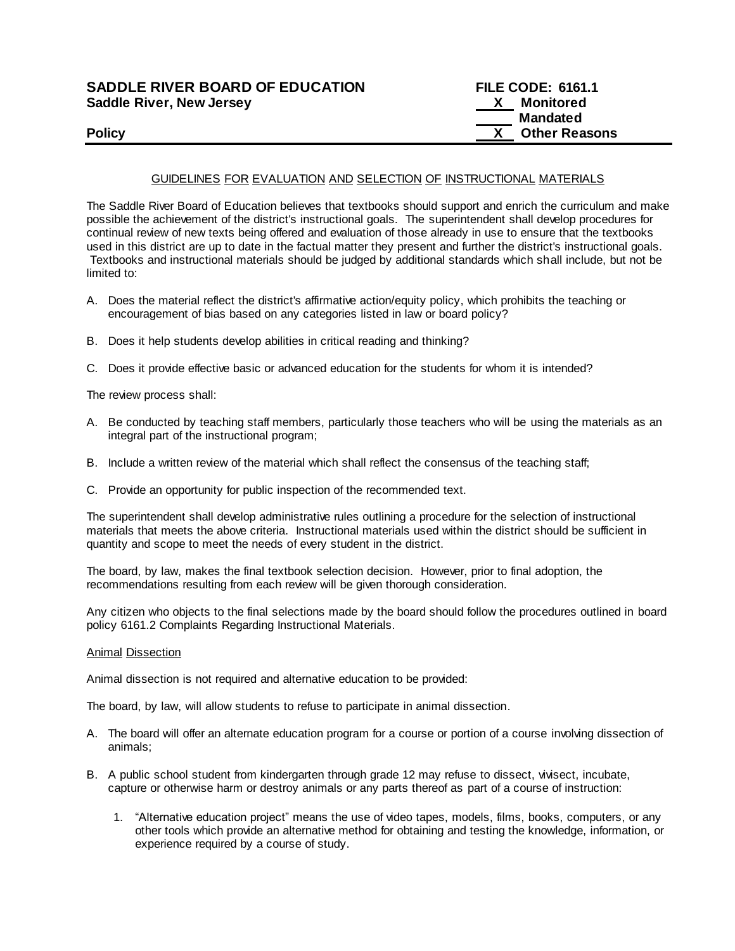| <b>SADDLE RIVER BOARD OF EDUCATION</b> | <b>FILE CODE: 6161.1</b> |
|----------------------------------------|--------------------------|
| <b>Saddle River, New Jersey</b>        | Monitored                |
|                                        | <b>Mandated</b>          |
| <b>Policy</b>                          | <b>Other Reasons</b>     |

## GUIDELINES FOR EVALUATION AND SELECTION OF INSTRUCTIONAL MATERIALS

The Saddle River Board of Education believes that textbooks should support and enrich the curriculum and make possible the achievement of the district's instructional goals. The superintendent shall develop procedures for continual review of new texts being offered and evaluation of those already in use to ensure that the textbooks used in this district are up to date in the factual matter they present and further the district's instructional goals. Textbooks and instructional materials should be judged by additional standards which shall include, but not be limited to:

- A. Does the material reflect the district's affirmative action/equity policy, which prohibits the teaching or encouragement of bias based on any categories listed in law or board policy?
- B. Does it help students develop abilities in critical reading and thinking?
- C. Does it provide effective basic or advanced education for the students for whom it is intended?

The review process shall:

- A. Be conducted by teaching staff members, particularly those teachers who will be using the materials as an integral part of the instructional program;
- B. Include a written review of the material which shall reflect the consensus of the teaching staff;
- C. Provide an opportunity for public inspection of the recommended text.

The superintendent shall develop administrative rules outlining a procedure for the selection of instructional materials that meets the above criteria. Instructional materials used within the district should be sufficient in quantity and scope to meet the needs of every student in the district.

The board, by law, makes the final textbook selection decision. However, prior to final adoption, the recommendations resulting from each review will be given thorough consideration.

Any citizen who objects to the final selections made by the board should follow the procedures outlined in board policy 6161.2 Complaints Regarding Instructional Materials.

## Animal Dissection

Animal dissection is not required and alternative education to be provided:

The board, by law, will allow students to refuse to participate in animal dissection.

- A. The board will offer an alternate education program for a course or portion of a course involving dissection of animals;
- B. A public school student from kindergarten through grade 12 may refuse to dissect, vivisect, incubate, capture or otherwise harm or destroy animals or any parts thereof as part of a course of instruction:
	- 1. "Alternative education project" means the use of video tapes, models, films, books, computers, or any other tools which provide an alternative method for obtaining and testing the knowledge, information, or experience required by a course of study.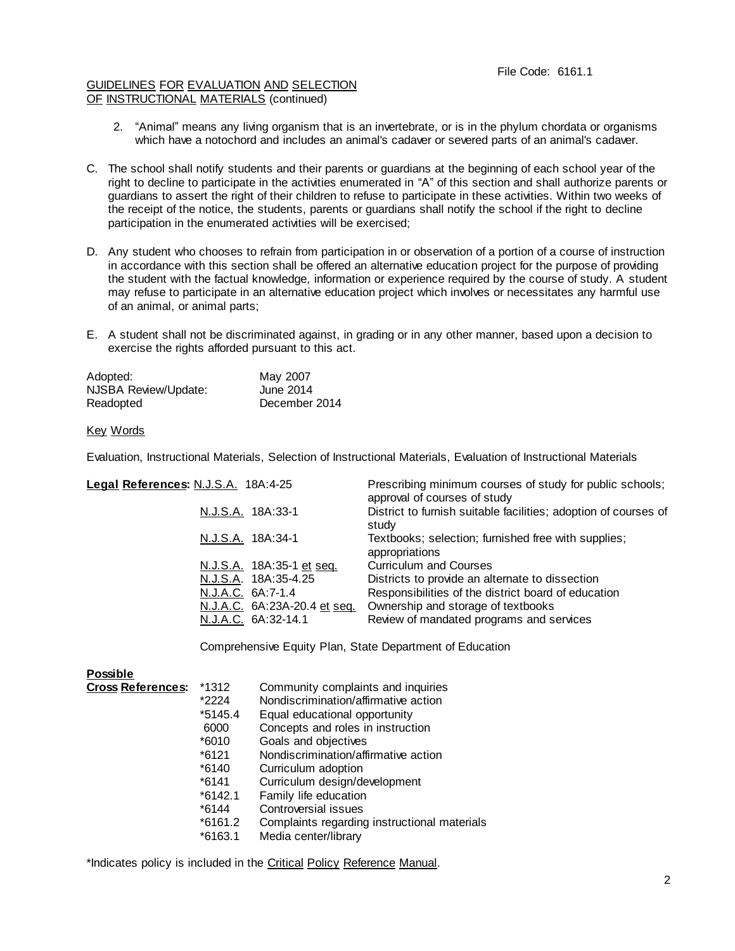## GUIDELINES FOR EVALUATION AND SELECTION OF INSTRUCTIONAL MATERIALS (continued)

- 2. "Animal" means any living organism that is an invertebrate, or is in the phylum chordata or organisms which have a notochord and includes an animal's cadaver or severed parts of an animal's cadaver.
- C. The school shall notify students and their parents or guardians at the beginning of each school year of the right to decline to participate in the activities enumerated in "A" of this section and shall authorize parents or guardians to assert the right of their children to refuse to participate in these activities. Within two weeks of the receipt of the notice, the students, parents or guardians shall notify the school if the right to decline participation in the enumerated activities will be exercised;
- D. Any student who chooses to refrain from participation in or observation of a portion of a course of instruction in accordance with this section shall be offered an alternative education project for the purpose of providing the student with the factual knowledge, information or experience required by the course of study. A student may refuse to participate in an alternative education project which involves or necessitates any harmful use of an animal, or animal parts;
- E. A student shall not be discriminated against, in grading or in any other manner, based upon a decision to exercise the rights afforded pursuant to this act.

| Adopted:             | May 2007      |
|----------------------|---------------|
| NJSBA Review/Update: | June 2014     |
| Readopted            | December 2014 |

Key Words

Evaluation, Instructional Materials, Selection of Instructional Materials, Evaluation of Instructional Materials

| Legal References: N.J.S.A. 18A:4-25 |                              | Prescribing minimum courses of study for public schools;<br>approval of courses of study |
|-------------------------------------|------------------------------|------------------------------------------------------------------------------------------|
| N.J.S.A. 18A:33-1                   |                              | District to furnish suitable facilities; adoption of courses of<br>study                 |
| N.J.S.A. 18A:34-1                   |                              | Textbooks; selection; furnished free with supplies;<br>appropriations                    |
|                                     | N.J.S.A. 18A:35-1 et seq.    | <b>Curriculum and Courses</b>                                                            |
|                                     | N.J.S.A. 18A:35-4.25         | Districts to provide an alternate to dissection                                          |
| N.J.A.C. 6A:7-1.4                   |                              | Responsibilities of the district board of education                                      |
|                                     | N.J.A.C. 6A:23A-20.4 et seq. | Ownership and storage of textbooks                                                       |
| N.J.A.C. 6A:32-14.1                 |                              | Review of mandated programs and services                                                 |

Comprehensive Equity Plan, State Department of Education

| <b>Possible</b>          |           |                                              |
|--------------------------|-----------|----------------------------------------------|
| <b>Cross References:</b> | *1312     | Community complaints and inquiries           |
|                          | *2224     | Nondiscrimination/affirmative action         |
|                          | *5145.4   | Equal educational opportunity                |
|                          | 6000      | Concepts and roles in instruction            |
|                          | *6010     | Goals and objectives                         |
|                          | $*6121$   | Nondiscrimination/affirmative action         |
|                          | $*6140$   | Curriculum adoption                          |
|                          | $*6141$   | Curriculum design/development                |
|                          | $*6142.1$ | Family life education                        |
|                          | $*6144$   | Controversial issues                         |
|                          | *6161.2   | Complaints regarding instructional materials |
|                          | $*6163.1$ | Media center/library                         |
|                          |           |                                              |

\*Indicates policy is included in the Critical Policy Reference Manual.